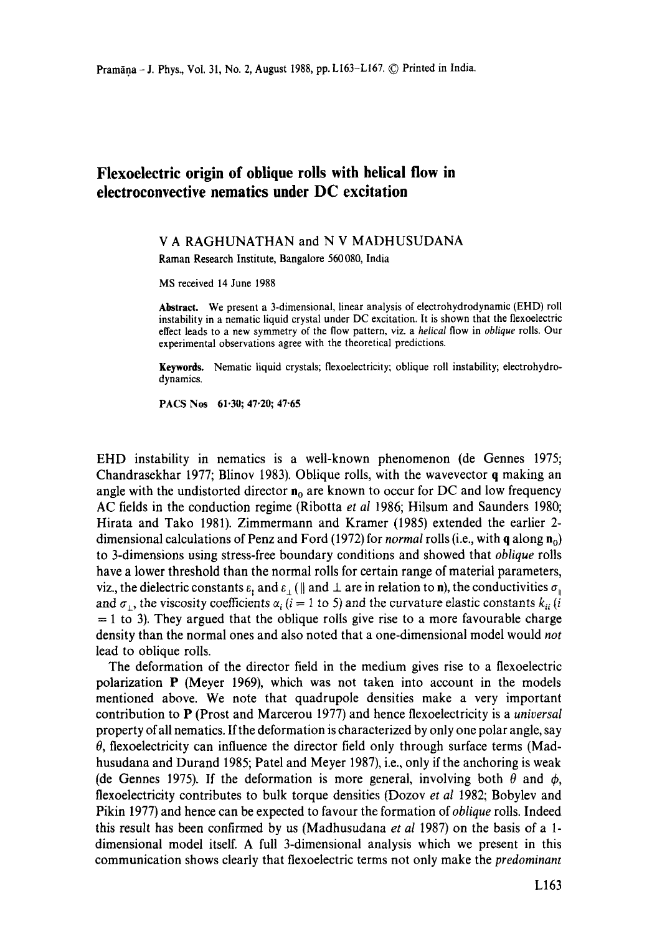## **Flexoeleetric origin of oblique rolls with helical flow in electroconvective nematics under DC excitation**

## V A RAGHUNATHAN and N V MADHUSUDANA

Raman Research Institute, Bangalore 560080, India

MS received 14 June 1988

**Abstract.** We present a 3-dimensional, linear analysis of electrohydrodynamic (EHD) roll instability in a nematic liquid crystal under DC excitation. It is shown that the flexoelectric effect leads to a new symmetry of the flow pattern, viz. a *helical* flow in *oblique* rolls. Our experimental observations agree with the theoretical predictions.

Keywords, Nematic liquid crystals; flexoelectricity; oblique roll instability; electrohydrodynamics.

PACS Nos 61-30; 47-20; 47.65

EHD instability in nematics is a well-known phenomenon (de Gennes 1975; Chandrasekhar 1977; Blinov 1983). Oblique rolls, with the wavevector q making an angle with the undistorted director  $n_0$  are known to occur for DC and low frequency AC fields in the conduction regime (Ribotta *et al* 1986; Hilsum and Saunders 1980; Hirata and Tako 1981). Zimmermann and Kramer (1985) extended the earlier 2 dimensional calculations of Penz and Ford (1972) for *normal* rolls (i.e., with q along n<sub>0</sub>) to 3-dimensions using stress-free boundary conditions and showed that *oblique* rolls have a lower threshold than the normal rolls for certain range of material parameters, viz., the dielectric constants  $\varepsilon_n$  and  $\varepsilon_1$  ( || and  $\perp$  are in relation to n), the conductivities  $\sigma_n$ and  $\sigma_{1}$ , the viscosity coefficients  $\alpha_{i}$  (i = 1 to 5) and the curvature elastic constants  $k_{ii}$  (i  $= 1$  to 3). They argued that the oblique rolls give rise to a more favourable charge density than the normal ones and also noted that a one-dimensional model would *not*  lead to oblique rolls.

The deformation of the director field in the medium gives rise to a flexoelectric polarization P (Meyer 1969), which was not taken into account in the models mentioned above. We note that quadrupole densities make a very important contribution to P (Prost and Marcerou 1977) and hence flexoelectricity is a *universal*  property of all nematics. If the deformation is characterized by only one polar angle, say  $\theta$ , flexoelectricity can influence the director field only through surface terms (Madhusudana and Durand 1985; Patel and Meyer 1987), i.e., only if the anchoring is weak (de Gennes 1975). If the deformation is more general, involving both  $\theta$  and  $\phi$ , flexoelectricity contributes to bulk torque densities (Dozov *et al* 1982; Bobylev and Pikin 1977) and hence can be expected to favour the formation *of oblique* rolls. Indeed this result has been confirmed by us (Madhusudana *et al* 1987) on the basis of a 1 dimensional model itself. A full 3-dimensional analysis which we present in this communication shows clearly that flexoelectric terms not only make the *predominant*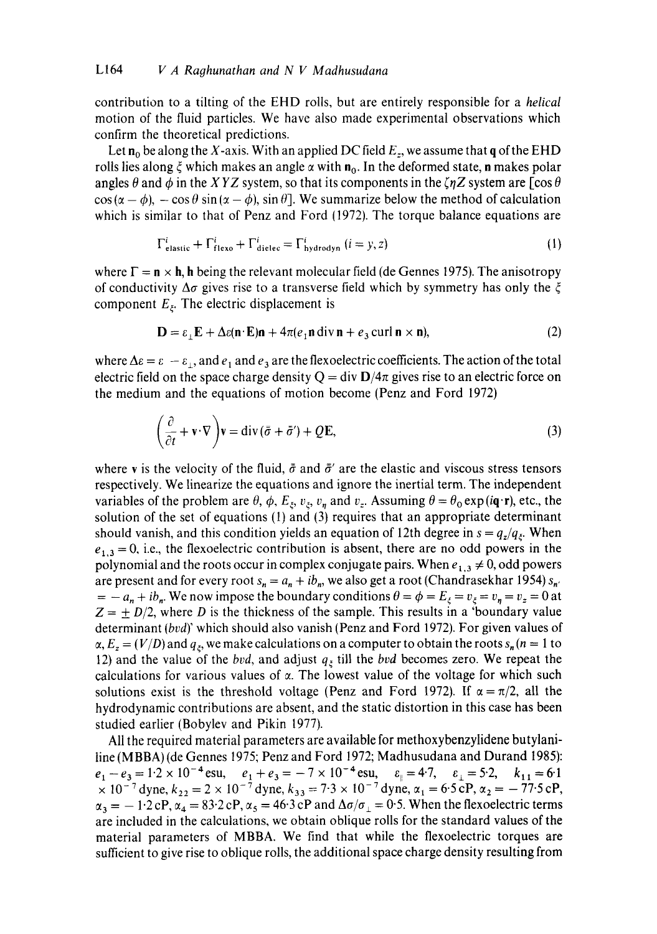contribution to a tilting of the EHD rolls, but are entirely responsible for a *helical*  motion of the fluid particles. We have also made experimental observations which confirm the theoretical predictions.

Let  $n_0$  be along the X-axis. With an applied DC field  $E_z$ , we assume that q of the EHD rolls lies along  $\xi$  which makes an angle  $\alpha$  with  $\mathbf{n}_0$ . In the deformed state, **n** makes polar angles  $\theta$  and  $\phi$  in the *XYZ* system, so that its components in the  $\zeta \eta Z$  system are [cos  $\theta$  $\cos(\alpha - \phi)$ ,  $-\cos\theta \sin(\alpha - \phi)$ ,  $\sin\theta$ . We summarize below the method of calculation which is similar to that of Penz and Ford (1972). The torque balance equations are

$$
\Gamma_{\text{elastic}}^{i} + \Gamma_{\text{flexo}}^{i} + \Gamma_{\text{diele}}^{i} = \Gamma_{\text{hydrodyn}}^{i} \ (i = y, z)
$$
 (1)

where  $\Gamma = \mathbf{n} \times \mathbf{h}$ , h being the relevant molecular field (de Gennes 1975). The anisotropy of conductivity  $\Delta \sigma$  gives rise to a transverse field which by symmetry has only the  $\xi$ component  $E<sub>z</sub>$ . The electric displacement is

$$
\mathbf{D} = \varepsilon_1 \mathbf{E} + \Delta \varepsilon (\mathbf{n} \cdot \mathbf{E}) \mathbf{n} + 4\pi (e_1 \mathbf{n} \operatorname{div} \mathbf{n} + e_3 \operatorname{curl} \mathbf{n} \times \mathbf{n}),\tag{2}
$$

where  $\Delta \epsilon = \epsilon - \epsilon_1$ , and  $\epsilon_1$  and  $\epsilon_3$  are the flexoelectric coefficients. The action of the total electric field on the space charge density  $Q = \text{div } D/4\pi$  gives rise to an electric force on the medium and the equations of motion become (Penz and Ford 1972)

$$
\left(\frac{\partial}{\partial t} + \mathbf{v} \cdot \nabla\right) \mathbf{v} = \text{div}\left(\bar{\sigma} + \bar{\sigma}'\right) + Q\mathbf{E},\tag{3}
$$

where v is the velocity of the fluid,  $\bar{\sigma}$  and  $\bar{\sigma}'$  are the elastic and viscous stress tensors respectively. We linearize the equations and ignore the inertial term. The independent variables of the problem are  $\theta$ ,  $\phi$ ,  $E_{\xi}$ ,  $v_{\xi}$ ,  $v_{\eta}$  and  $v_{z}$ . Assuming  $\theta = \theta_{0} \exp(i\mathbf{q}\cdot\mathbf{r})$ , etc., the solution of the set of equations (1) and (3) requires that an appropriate determinant should vanish, and this condition yields an equation of 12th degree in  $s = q_z/q_\xi$ . When  $e_{1,3} = 0$ , i.e., the flexoelectric contribution is absent, there are no odd powers in the polynomial and the roots occur in complex conjugate pairs. When  $e_{1,3} \neq 0$ , odd powers are present and for every root  $s_n = a_n + ib_n$ , we also get a root (Chandrasekhar 1954)  $s_n$ .  $= -a_n + ib_n$ . We now impose the boundary conditions  $\theta = \phi = E_{\xi} = v_{\xi} = v_n = v_z = 0$  at  $Z = \pm D/2$ , where *D* is the thickness of the sample. This results in a 'boundary value' determinant *{bvd)'* which should also vanish (Penz and Ford 1972). For given values of  $\alpha$ ,  $E_z = (V/D)$  and  $q_{\xi}$ , we make calculations on a computer to obtain the roots  $s_n (n = 1$  to 12) and the value of the *bvd*, and adjust  $q_{\xi}$  till the *bvd* becomes zero. We repeat the calculations for various values of  $\alpha$ . The lowest value of the voltage for which such solutions exist is the threshold voltage (Penz and Ford 1972). If  $\alpha = \pi/2$ , all the hydrodynamic contributions are absent, and the static distortion in this case has been studied earlier (Bobylev and Pikin 1977).

All the required material parameters are available for methoxybenzylidene butylaniline (MBBA) (de Gennes 1975; Penz and Ford 1972; Madhusudana and Durand 1985):  $e_1-e_3=1.2\times10^{-4}$  esu,  $e_1+e_3=-7\times10^{-4}$  esu,  $e_1=4.7$ ,  $e_1=5.2$ ,  $k_{11}=6.1$  $\times 10^{-7}$  dyne,  $k_{22} = 2 \times 10^{-7}$  dyne,  $k_{33} = 7.3 \times 10^{-7}$  dyne,  $\alpha_1 = 6.5$  cP,  $\alpha_2 = -77.5$  cP,  $\alpha_3 = -1.2 \text{ cP}, \alpha_4 = 83.2 \text{ cP}, \alpha_5 = 46.3 \text{ cP}$  and  $\Delta \sigma / \sigma_{\perp} = 0.5$ . When the flexoelectric terms are included in the calculations, we obtain oblique rolls for the standard values of the material parameters of MBBA. We find that while the flexoelectric torques are sufficient to give rise to oblique rolls, the additional space charge density resulting from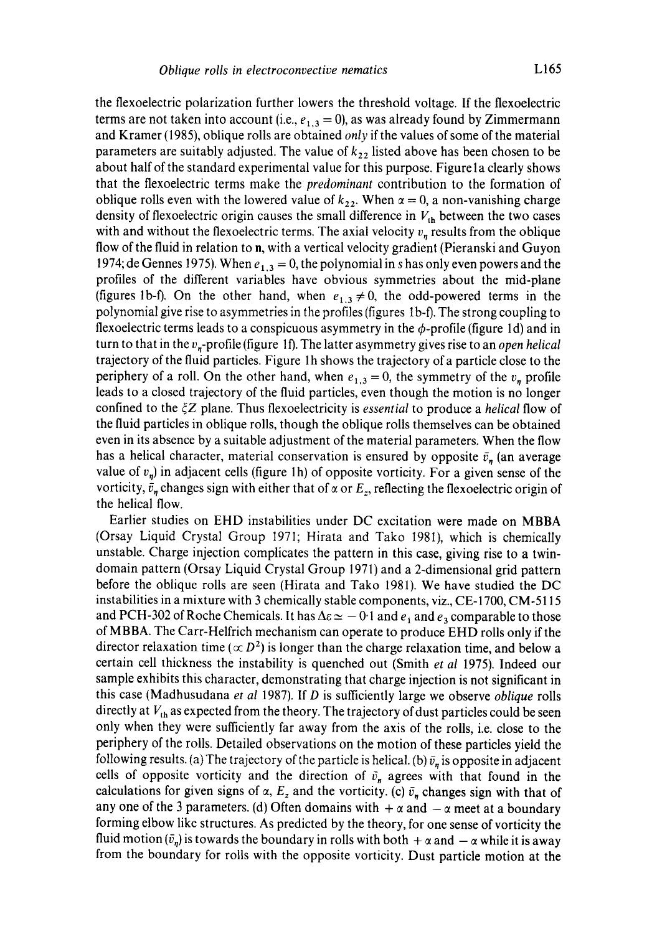the flexoelectric polarization further lowers the threshold voltage. If the flexoelectric terms are not taken into account (i.e.,  $e_{1,3} = 0$ ), as was already found by Zimmermann and Kramer (1985), oblique rolls are obtained *only* if the values of some of the material parameters are suitably adjusted. The value of  $k_{22}$  listed above has been chosen to be about half of the standard experimental value for this purpose. Figure 1 a clearly shows that the flexoelectric terms make the *predominant* contribution to the formation of oblique rolls even with the lowered value of  $k_{22}$ . When  $\alpha = 0$ , a non-vanishing charge density of flexoelectric origin causes the small difference in  $V_{th}$  between the two cases with and without the flexoelectric terms. The axial velocity  $v_n$  results from the oblique flow of the fluid in relation to n, with a vertical velocity gradient (Pieranski and Guyon 1974; de Gennes 1975). When  $e_{1,3} = 0$ , the polynomial in s has only even powers and the profiles of the different variables have obvious symmetries about the mid-plane (figures 1b-f). On the other hand, when  $e_{1,3} \neq 0$ , the odd-powered terms in the polynomial give rise to asymmetries in the profiles (figures I b-f). The strong coupling to flexoelectric terms leads to a conspicuous asymmetry in the  $\phi$ -profile (figure 1d) and in turn to that in the v,-profile (figure I f). The latter asymmetry gives rise to an *open helical*  trajectory of the fluid particles. Figure 1 h shows the trajectory of a particle close to the periphery of a roll. On the other hand, when  $e_{1,3} = 0$ , the symmetry of the  $v_n$  profile leads to a closed trajectory of the fluid particles, even though the motion is no longer confined to the  $\zeta Z$  plane. Thus flexoelectricity is *essential* to produce a *helical* flow of the fluid particles in oblique rolls, though the oblique rolls themselves can be obtained even in its absence by a suitable adjustment of the material parameters. When the flow has a helical character, material conservation is ensured by opposite  $\bar{v}_n$  (an average value of  $v_n$ ) in adjacent cells (figure 1h) of opposite vorticity. For a given sense of the vorticity,  $\bar{v}_n$  changes sign with either that of  $\alpha$  or  $E_z$ , reflecting the flexoelectric origin of the helical flow.

Earlier studies on EHD instabilities under DC excitation were made on MBBA (Orsay Liquid Crystal Group 1971; Hirata and Tako 1981), which is chemically unstable. Charge injection complicates the pattern in this case, giving rise to a twindomain pattern (Orsay Liquid Crystal Group 1971) and a 2-dimensional grid pattern before the oblique rolls are seen (Hirata and Tako 1981). We have studied the DC instabilities in a mixture with 3 chemically stable components, viz., CE-1700, CM-5115 and PCH-302 of Roche Chemicals. It has  $\Delta \varepsilon \simeq -0.1$  and  $e_1$  and  $e_3$  comparable to those of MBBA. The Carr-Helfrich mechanism can operate to produce EHD rolls only if the director relaxation time ( $\propto D^2$ ) is longer than the charge relaxation time, and below a certain cell thickness the instability is quenched out (Smith *et al* 1975). Indeed our sample exhibits this character, demonstrating that charge injection is not significant in this case (Madhusudana *et al* 1987). If D is sufficiently large we observe *oblique* rolls directly at  $V_{th}$  as expected from the theory. The trajectory of dust particles could be seen only when they were sufficiently far away from the axis of the rolls, i.e. close to the periphery of the rolls. Detailed observations on the motion of these particles yield the following results. (a) The trajectory of the particle is helical. (b)  $\bar{v}_n$  is opposite in adjacent cells of opposite vorticity and the direction of  $\bar{v}_n$  agrees with that found in the calculations for given signs of  $\alpha$ ,  $E_z$  and the vorticity. (c)  $\bar{v}_n$  changes sign with that of any one of the 3 parameters. (d) Often domains with  $+\alpha$  and  $-\alpha$  meet at a boundary forming elbow like structures. As predicted by the theory, for one sense of vorticity the fluid motion  $(\bar{v}_n)$  is towards the boundary in rolls with both  $+\alpha$  and  $-\alpha$  while it is away from the boundary for rolls with the opposite vorticity. Dust particle motion at the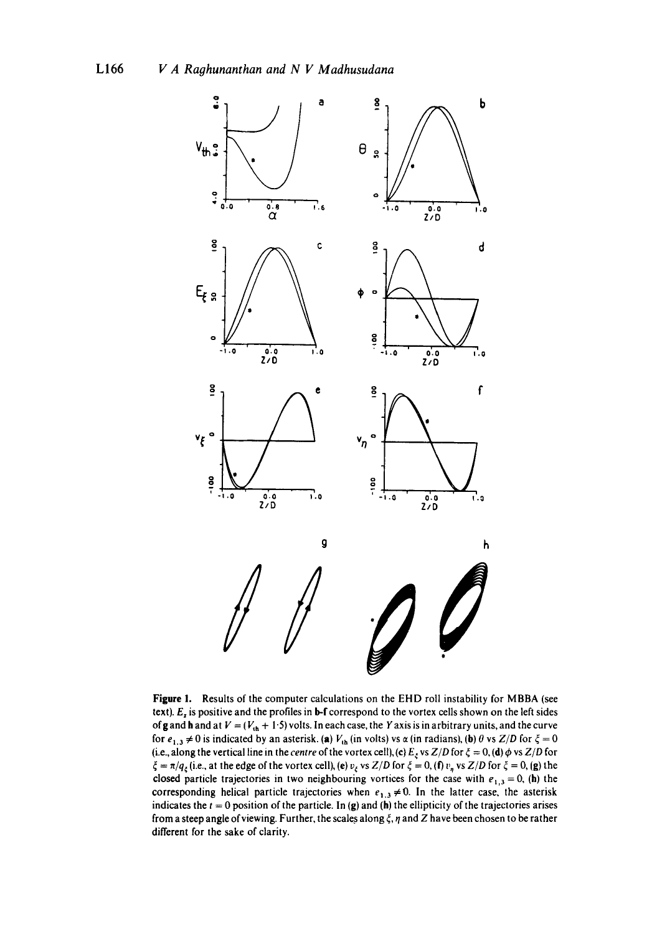

**Figure** 1. Results of the computer calculations on the EHD roll instability for MBBA (see text).  $E<sub>z</sub>$  is positive and the profiles in **b-f** correspond to the vortex cells shown on the left sides of g and h and at  $V = (V_{th} + 1.5)$  volts. In each case, the Y axis is in arbitrary units, and the curve for  $e_{1,3} \neq 0$  is indicated by an asterisk. (a)  $V_{th}$  (in volts) vs  $\alpha$  (in radians), (b)  $\theta$  vs  $Z/D$  for  $\xi = 0$ (i.e., along the vertical line in the *centre* of the vortex cell), (c)  $E_\xi$  vs  $Z/D$  for  $\xi = 0$ , (d)  $\phi$  vs  $Z/D$  for  $\zeta = \pi/q_\zeta$  (i.e., at the edge of the vortex cell), (e)  $v_\zeta$  vs *Z/D* for  $\zeta = 0$ , (f)  $v_\eta$  vs *Z/D* for  $\zeta = 0$ , (g) the closed particle trajectories in two neighbouring vortices for the case with  $e_{1,3} = 0$ , (h) the corresponding helical particle trajectories when  $e_{1,3} \neq 0$ . In the latter case, the asterisk indicates the  $t = 0$  position of the particle. In (g) and (h) the ellipticity of the trajectories arises from a steep angle of viewing. Further, the scales along  $\xi$ ,  $\eta$  and Z have been chosen to be rather different for the sake of clarity.